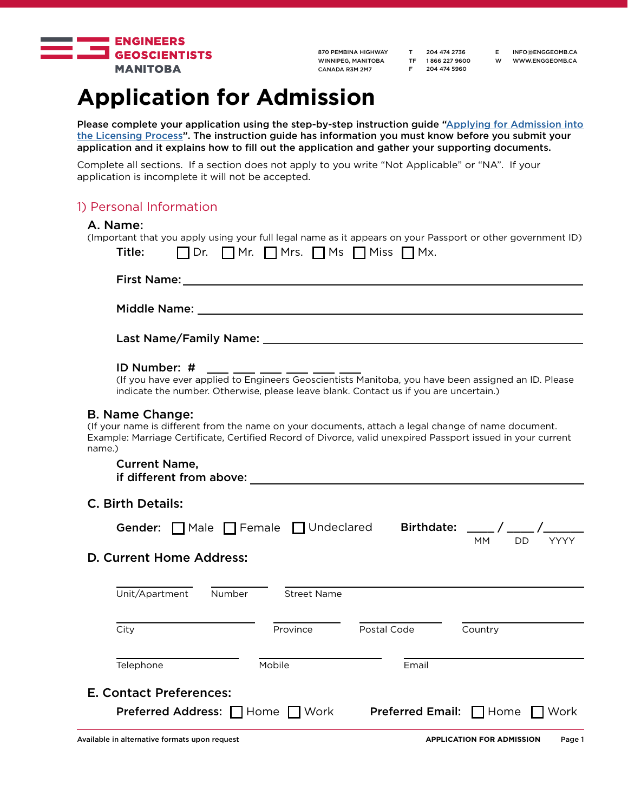

T 204 474 2736 TF 1 866 227 9600 F 204 474 5960

E INFO@ENGGEOMB.CA W WWW.ENGGEOMB.CA

# **Application for Admission**

Please complete your application using the step-by-step instruction guide ["Applying for Admission into](http://www.enggeomb.ca/pdf/Registration/ApplicationForAdmissionGuide.pdf ) [the Licensing Process](http://www.enggeomb.ca/pdf/Registration/ApplicationForAdmissionGuide.pdf )". The instruction guide has information you must know before you submit your application and it explains how to fill out the application and gather your supporting documents.

Complete all sections. If a section does not apply to you write "Not Applicable" or "NA". If your application is incomplete it will not be accepted.

# 1) Personal Information

# A. Name:

| $\Box$ Dr. $\Box$ Mr. $\Box$ Mrs. $\Box$ Ms $\Box$ Miss $\Box$ Mx.<br>ID Number: #<br><b>ID Number: #</b> ____ ___ ___ ___ ___ ___ ___<br>(If you have ever applied to Engineers Geoscientists Manitoba, you have been assigned an ID. Please<br>indicate the number. Otherwise, please leave blank. Contact us if you are uncertain.) |  |
|----------------------------------------------------------------------------------------------------------------------------------------------------------------------------------------------------------------------------------------------------------------------------------------------------------------------------------------|--|
|                                                                                                                                                                                                                                                                                                                                        |  |
|                                                                                                                                                                                                                                                                                                                                        |  |
|                                                                                                                                                                                                                                                                                                                                        |  |
| <b>B. Name Change:</b><br>(If your name is different from the name on your documents, attach a legal change of name document.<br>Example: Marriage Certificate, Certified Record of Divorce, valid unexpired Passport issued in your current<br>name.)                                                                                 |  |
|                                                                                                                                                                                                                                                                                                                                        |  |
|                                                                                                                                                                                                                                                                                                                                        |  |
| <b>Current Name,</b>                                                                                                                                                                                                                                                                                                                   |  |
| <b>C. Birth Details:</b>                                                                                                                                                                                                                                                                                                               |  |
| Gender: Male Female Undeclared Birthdate: ___/ ___/ ______                                                                                                                                                                                                                                                                             |  |
| MM.<br>D. Current Home Address:                                                                                                                                                                                                                                                                                                        |  |
| Unit/Apartment Number Street Name                                                                                                                                                                                                                                                                                                      |  |
| City<br>Province<br>Postal Code<br>Country                                                                                                                                                                                                                                                                                             |  |
| Mobile<br>Email<br>Telephone                                                                                                                                                                                                                                                                                                           |  |
| <b>E. Contact Preferences:</b><br>Preferred Address: Home Nork<br><b>Preferred Email:</b> $\Box$ Home $\Box$ Work                                                                                                                                                                                                                      |  |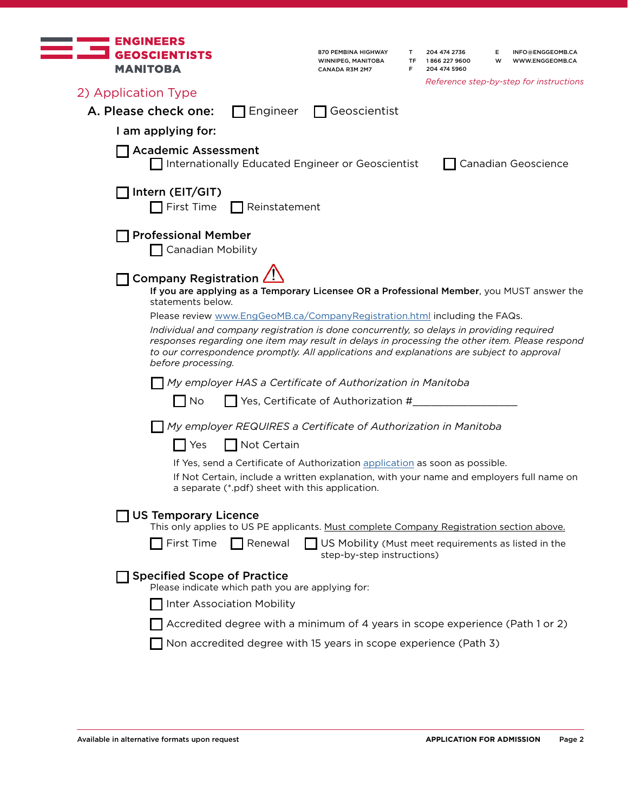| <b>ENGINEERS</b><br><b>GEOSCIENTISTS</b><br><b>MANITOBA</b>            |                                                  | 870 PEMBINA HIGHWAY<br>WINNIPEG, MANITOBA<br>CANADA R3M 2M7                                                                                                                                                                                                                                                                                                                                                                                                                                                                       | T<br>TF<br>F | 204 474 2736<br>1866 227 9600<br>204 474 5960 | Е<br>w | INFO@ENGGEOMB.CA<br>WWW.ENGGEOMB.CA<br>Reference step-by-step for instructions |
|------------------------------------------------------------------------|--------------------------------------------------|-----------------------------------------------------------------------------------------------------------------------------------------------------------------------------------------------------------------------------------------------------------------------------------------------------------------------------------------------------------------------------------------------------------------------------------------------------------------------------------------------------------------------------------|--------------|-----------------------------------------------|--------|--------------------------------------------------------------------------------|
| 2) Application Type                                                    |                                                  |                                                                                                                                                                                                                                                                                                                                                                                                                                                                                                                                   |              |                                               |        |                                                                                |
| A. Please check one:                                                   | Engineer                                         | Geoscientist                                                                                                                                                                                                                                                                                                                                                                                                                                                                                                                      |              |                                               |        |                                                                                |
| I am applying for:                                                     |                                                  |                                                                                                                                                                                                                                                                                                                                                                                                                                                                                                                                   |              |                                               |        |                                                                                |
| <b>Academic Assessment</b>                                             |                                                  | Internationally Educated Engineer or Geoscientist                                                                                                                                                                                                                                                                                                                                                                                                                                                                                 |              |                                               |        | Canadian Geoscience                                                            |
| Intern (EIT/GIT)                                                       |                                                  |                                                                                                                                                                                                                                                                                                                                                                                                                                                                                                                                   |              |                                               |        |                                                                                |
| First Time                                                             | Reinstatement                                    |                                                                                                                                                                                                                                                                                                                                                                                                                                                                                                                                   |              |                                               |        |                                                                                |
| <b>Professional Member</b><br><b>Canadian Mobility</b>                 |                                                  |                                                                                                                                                                                                                                                                                                                                                                                                                                                                                                                                   |              |                                               |        |                                                                                |
| <b>Company Registration</b><br>statements below.<br>before processing. |                                                  | If you are applying as a Temporary Licensee OR a Professional Member, you MUST answer the<br>Please review www.EngGeoMB.ca/CompanyRegistration.html including the FAQs.<br>Individual and company registration is done concurrently, so delays in providing required<br>responses regarding one item may result in delays in processing the other item. Please respond<br>to our correspondence promptly. All applications and explanations are subject to approval<br>My employer HAS a Certificate of Authorization in Manitoba |              |                                               |        |                                                                                |
| $\blacksquare$ No                                                      |                                                  | $\blacksquare$ Yes, Certificate of Authorization #                                                                                                                                                                                                                                                                                                                                                                                                                                                                                |              |                                               |        |                                                                                |
|                                                                        |                                                  | My employer REQUIRES a Certificate of Authorization in Manitoba                                                                                                                                                                                                                                                                                                                                                                                                                                                                   |              |                                               |        |                                                                                |
| Yes                                                                    | Not Certain                                      |                                                                                                                                                                                                                                                                                                                                                                                                                                                                                                                                   |              |                                               |        |                                                                                |
|                                                                        | a separate (*.pdf) sheet with this application.  | If Yes, send a Certificate of Authorization application as soon as possible.<br>If Not Certain, include a written explanation, with your name and employers full name on                                                                                                                                                                                                                                                                                                                                                          |              |                                               |        |                                                                                |
| <b>US Temporary Licence</b>                                            |                                                  | This only applies to US PE applicants. Must complete Company Registration section above.                                                                                                                                                                                                                                                                                                                                                                                                                                          |              |                                               |        |                                                                                |
| First Time                                                             | Renewal                                          | US Mobility (Must meet requirements as listed in the<br>step-by-step instructions)                                                                                                                                                                                                                                                                                                                                                                                                                                                |              |                                               |        |                                                                                |
| <b>Specified Scope of Practice</b>                                     | Please indicate which path you are applying for: |                                                                                                                                                                                                                                                                                                                                                                                                                                                                                                                                   |              |                                               |        |                                                                                |
|                                                                        | <b>Inter Association Mobility</b>                |                                                                                                                                                                                                                                                                                                                                                                                                                                                                                                                                   |              |                                               |        |                                                                                |
|                                                                        |                                                  | Accredited degree with a minimum of 4 years in scope experience (Path 1 or 2)                                                                                                                                                                                                                                                                                                                                                                                                                                                     |              |                                               |        |                                                                                |
|                                                                        |                                                  | Non accredited degree with 15 years in scope experience (Path 3)                                                                                                                                                                                                                                                                                                                                                                                                                                                                  |              |                                               |        |                                                                                |
|                                                                        |                                                  |                                                                                                                                                                                                                                                                                                                                                                                                                                                                                                                                   |              |                                               |        |                                                                                |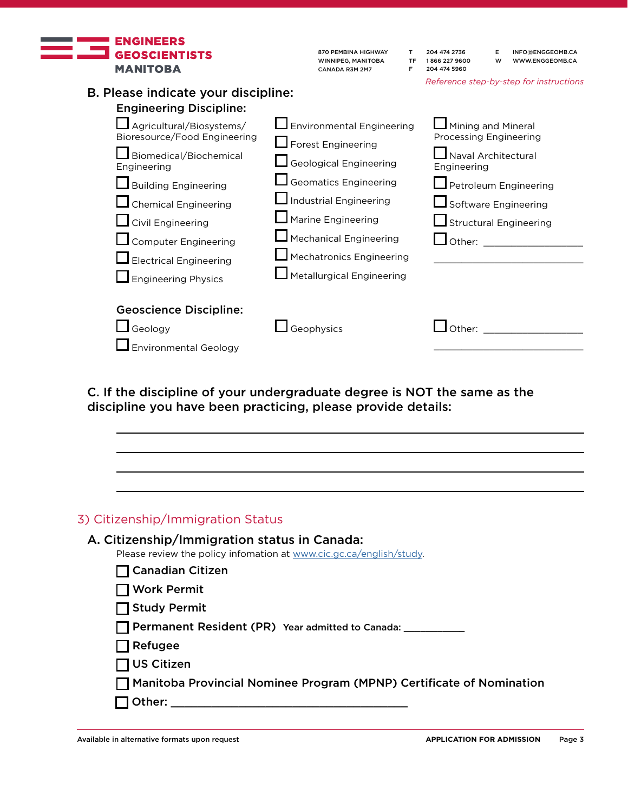

B. Please indicate your discipline:

| 870 PEMBINA HIGHWAY |
|---------------------|
| WINNIPEG. MANITOBA  |
| CANADA R3M 2M7      |

T 204 474 2736 TF 1 866 227 9600 F 204 474 5960

E INFO@ENGGEOMB.CA W WWW.ENGGEOMB.CA

*Reference step-by-step for instructions*

| <b>Engineering Discipline:</b>        |                                   |                                    |
|---------------------------------------|-----------------------------------|------------------------------------|
| Agricultural/Biosystems/              | $\Box$ Environmental Engineering  | Mining and Mineral                 |
| Bioresource/Food Engineering          | $\Box$ Forest Engineering         | Processing Engineering             |
| Biomedical/Biochemical<br>Engineering | <b>Geological Engineering</b>     | Naval Architectural<br>Engineering |
| <b>Building Engineering</b>           | <b>Geomatics Engineering</b>      | Petroleum Engineering              |
| $\Box$ Chemical Engineering           | Industrial Engineering            | Software Engineering               |
| $\Box$ Civil Engineering              | $\blacksquare$ Marine Engineering | $\Box$ Structural Engineering      |
| Computer Engineering                  | Mechanical Engineering            | Other:                             |
| $\blacksquare$ Electrical Engineering | Mechatronics Engineering          |                                    |
| $\Box$ Engineering Physics            | $\Box$ Metallurgical Engineering  |                                    |
| <b>Geoscience Discipline:</b>         |                                   |                                    |
| Geology                               | Geophysics                        | ∩ther:                             |
| <b>Environmental Geology</b>          |                                   |                                    |

C. If the discipline of your undergraduate degree is NOT the same as the discipline you have been practicing, please provide details:

| 3) Citizenship/Immigration Status                                                                                   |
|---------------------------------------------------------------------------------------------------------------------|
| A. Citizenship/Immigration status in Canada:<br>Please review the policy infomation at www.cic.gc.ca/english/study. |
| <b>Canadian Citizen</b>                                                                                             |
| <b>Work Permit</b>                                                                                                  |
| <b>Study Permit</b>                                                                                                 |
| <b>Permanent Resident (PR)</b> Year admitted to Canada: ______________________________                              |
| Refugee                                                                                                             |
| <b>US Citizen</b>                                                                                                   |
| Manitoba Provincial Nominee Program (MPNP) Certificate of Nomination                                                |
| Other: __________                                                                                                   |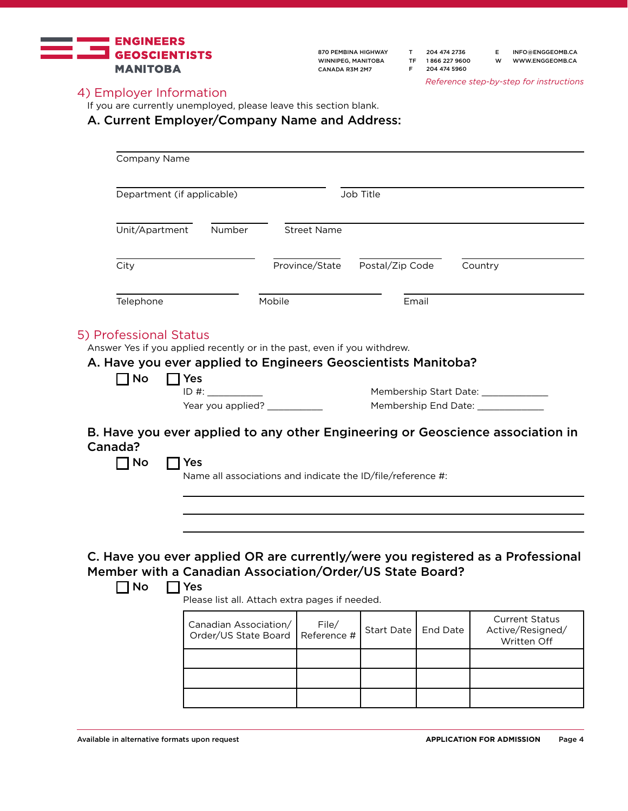

- T 204 474 2736 TF 1 866 227 9600 F 204 474 5960
- E INFO@ENGGEOMB.CA W WWW.ENGGEOMB.CA

*Reference step-by-step for instructions*

# 4) Employer Information

If you are currently unemployed, please leave this section blank.

A. Current Employer/Company Name and Address:

| Department (if applicable)                                                   |                                               |                                                             | Job Title         |          |                                                                                 |
|------------------------------------------------------------------------------|-----------------------------------------------|-------------------------------------------------------------|-------------------|----------|---------------------------------------------------------------------------------|
| Unit/Apartment                                                               | Number                                        | <b>Street Name</b>                                          |                   |          |                                                                                 |
| City                                                                         |                                               | Province/State                                              | Postal/Zip Code   |          | Country                                                                         |
| Telephone                                                                    |                                               | Mobile                                                      | Email             |          |                                                                                 |
|                                                                              |                                               |                                                             |                   |          | Membership End Date: _____________                                              |
| Canada?<br>$\sqcap$ No<br><b>Yes</b>                                         |                                               | Name all associations and indicate the ID/file/reference #: |                   |          | B. Have you ever applied to any other Engineering or Geoscience association in  |
| Member with a Canadian Association/Order/US State Board?<br><b>No</b><br>Yes |                                               |                                                             |                   |          |                                                                                 |
|                                                                              |                                               | Please list all. Attach extra pages if needed.              |                   |          | C. Have you ever applied OR are currently/were you registered as a Professional |
|                                                                              | Canadian Association/<br>Order/US State Board | File/<br>Reference #                                        | <b>Start Date</b> | End Date | <b>Current Status</b><br>Active/Resigned/<br>Written Off                        |
|                                                                              |                                               |                                                             |                   |          |                                                                                 |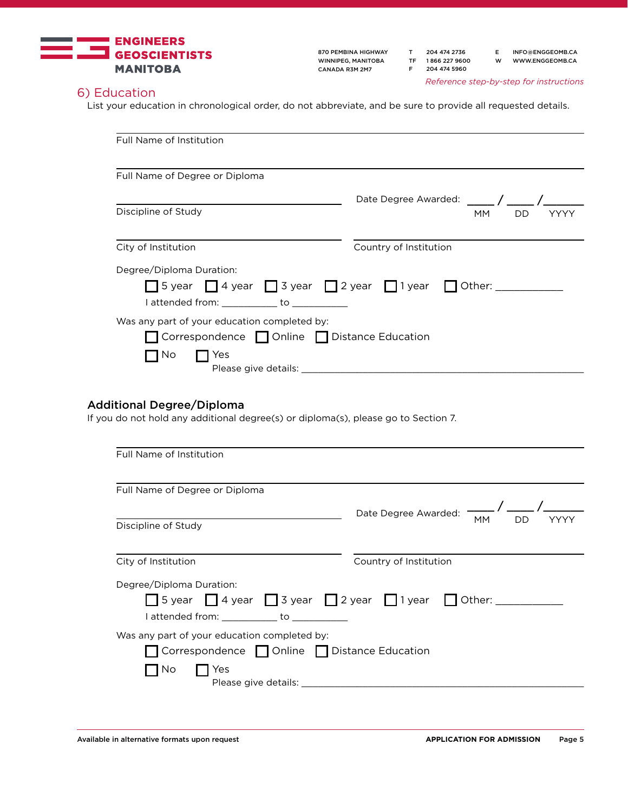

T 204 474 2736 TF 1 866 227 9600 F 204 474 5960

E INFO@ENGGEOMB.CA W WWW.ENGGEOMB.CA

*Reference step-by-step for instructions*

# 6) Education

List your education in chronological order, do not abbreviate, and be sure to provide all requested details.

| Full Name of Institution                                                                                                                       |                                               |                 |
|------------------------------------------------------------------------------------------------------------------------------------------------|-----------------------------------------------|-----------------|
|                                                                                                                                                |                                               |                 |
| Full Name of Degree or Diploma                                                                                                                 |                                               |                 |
|                                                                                                                                                | Date Degree Awarded: _____ / _____            |                 |
| Discipline of Study                                                                                                                            |                                               | <b>MM</b><br>DD |
| City of Institution                                                                                                                            | Country of Institution                        |                 |
| Degree/Diploma Duration:                                                                                                                       |                                               |                 |
| $\Box$ 5 year $\Box$ 4 year $\Box$ 3 year $\Box$ 2 year $\Box$ 1 year $\Box$ Other: _________<br>I attended from: ____________ to ____________ |                                               |                 |
| Was any part of your education completed by:                                                                                                   |                                               |                 |
| Correspondence Online Distance Education                                                                                                       |                                               |                 |
| $\sqsupset$ Yes<br>7 No                                                                                                                        |                                               |                 |
|                                                                                                                                                |                                               |                 |
| <b>Additional Degree/Diploma</b>                                                                                                               |                                               |                 |
| If you do not hold any additional degree(s) or diploma(s), please go to Section 7.                                                             |                                               |                 |
| Full Name of Institution                                                                                                                       |                                               |                 |
|                                                                                                                                                |                                               |                 |
| Full Name of Degree or Diploma                                                                                                                 |                                               |                 |
|                                                                                                                                                | Date Degree Awarded: $\overline{\phantom{a}}$ |                 |
| Discipline of Study                                                                                                                            |                                               | MМ<br>DD        |
|                                                                                                                                                |                                               |                 |

| City of Institution                            | Country of Institution                                                              |
|------------------------------------------------|-------------------------------------------------------------------------------------|
| Degree/Diploma Duration:                       |                                                                                     |
|                                                | $\Box$ 5 year $\Box$ 4 year $\Box$ 3 year $\Box$ 2 year $\Box$ 1 year $\Box$ Other: |
| attended from: but attended from:              |                                                                                     |
| Was any part of your education completed by:   |                                                                                     |
| □ Correspondence □ Online □ Distance Education |                                                                                     |
| Yes<br>I INO                                   |                                                                                     |
| Please give details:                           |                                                                                     |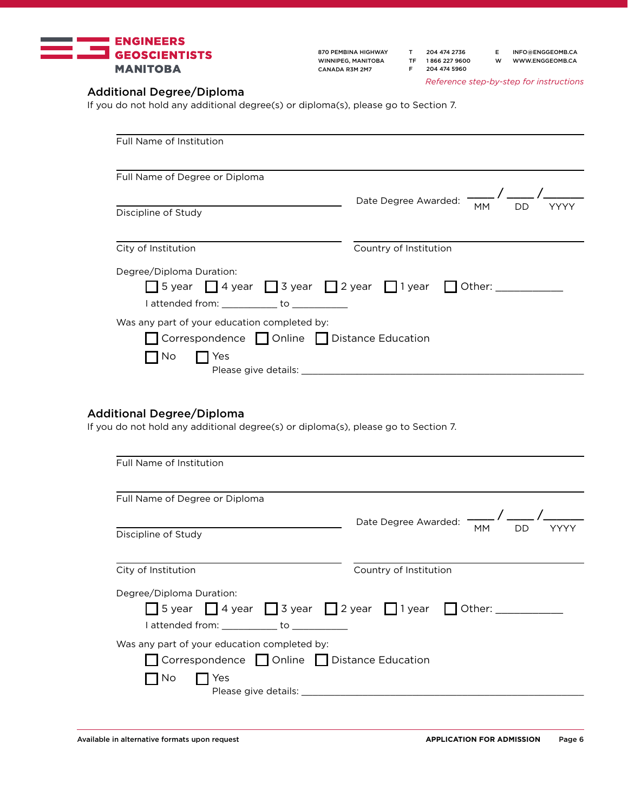

T 204 474 2736 TF 1 866 227 9600 F 204 474 5960

E INFO@ENGGEOMB.CA W WWW.ENGGEOMB.CA

*Reference step-by-step for instructions*

# Additional Degree/Diploma

If you do not hold any additional degree(s) or diploma(s), please go to Section 7.

| Full Name of Institution                                                                                                             |                        |
|--------------------------------------------------------------------------------------------------------------------------------------|------------------------|
|                                                                                                                                      |                        |
| Full Name of Degree or Diploma                                                                                                       |                        |
|                                                                                                                                      | Date Degree Awarded:   |
| Discipline of Study                                                                                                                  | <b>MM</b><br>DD        |
| City of Institution                                                                                                                  | Country of Institution |
| Degree/Diploma Duration:<br>□ 5 year □ 4 year □ 3 year □ 2 year □ 1 year □ Other: ______<br>attended from: to to the lattended from: |                        |
| Was any part of your education completed by:                                                                                         |                        |
| Correspondence   Online   Distance Education                                                                                         |                        |
| Yes<br>No.<br>Please give details:                                                                                                   |                        |

# Additional Degree/Diploma

If you do not hold any additional degree(s) or diploma(s), please go to Section 7.

| Full Name of Institution                                                                                                                                                 |                                                 |
|--------------------------------------------------------------------------------------------------------------------------------------------------------------------------|-------------------------------------------------|
| Full Name of Degree or Diploma                                                                                                                                           |                                                 |
| Discipline of Study                                                                                                                                                      | Date Degree Awarded:<br><b>MM</b><br>DD<br>YYYY |
| City of Institution                                                                                                                                                      | Country of Institution                          |
| Degree/Diploma Duration:<br>$\Box$ 5 year $\Box$ 4 year $\Box$ 3 year $\Box$ 2 year $\Box$ 1 year $\Box$ Other: ______<br>I attended from: _____________ to ____________ |                                                 |
| Was any part of your education completed by:<br>Correspondence Online Distance Education<br>Yes<br>No.                                                                   |                                                 |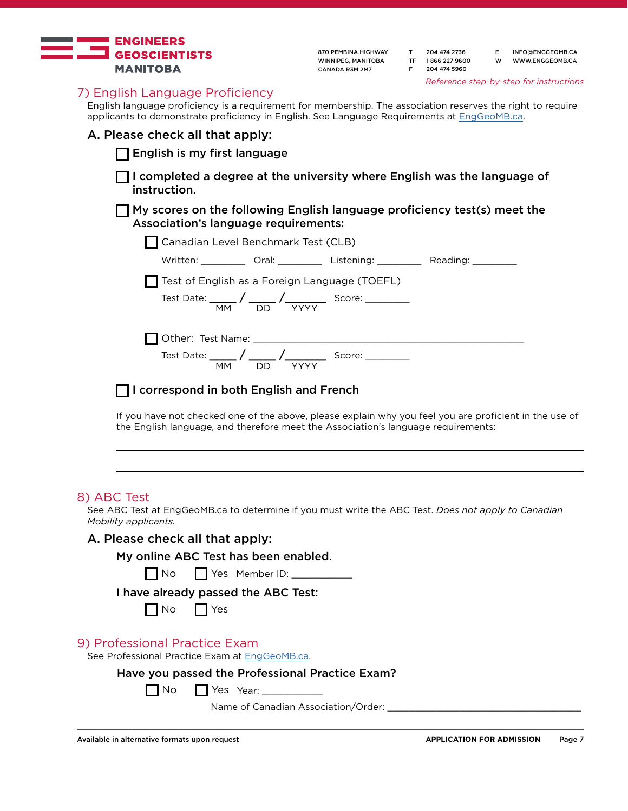

| 870 PEMBINA HIGHWAY |
|---------------------|
| WINNIPEG. MANITOBA  |
| CANADA R3M 2M7      |

| т  | 204 474 2736  |
|----|---------------|
| ΤF | 1866 227 9600 |
| E  | 204 474 5960  |

E INFO@ENGGEOMB.CA W WWW.ENGGEOMB.CA

*Reference step-by-step for instructions*

### 7) English Language Proficiency

English language proficiency is a requirement for membership. The association reserves the right to require applicants to demonstrate proficiency in English. See Language Requirements at [EngGeoMB.ca](http://www.enggeomb.ca/LanguageRequirements.html).

#### A. Please check all that apply:

 $\Box$  English is my first language

□ I completed a degree at the university where English was the language of instruction.

 $\Box$  My scores on the following English language proficiency test(s) meet the Association's language requirements:

| Canadian Level Benchmark Test (CLB)           |                                                               |                           |                    |  |
|-----------------------------------------------|---------------------------------------------------------------|---------------------------|--------------------|--|
|                                               |                                                               | Written: Oral: Listening: | Reading: _________ |  |
| Test of English as a Foreign Language (TOEFL) |                                                               |                           |                    |  |
|                                               | $\overline{MM}$ DD                                            |                           |                    |  |
|                                               |                                                               |                           |                    |  |
| MM.                                           | Test Date: ______ / ______ / ________<br>DD. L<br><b>YYYY</b> | Score: ________           |                    |  |

 $\Box$  I correspond in both English and French

If you have not checked one of the above, please explain why you feel you are proficient in the use of the English language, and therefore meet the Association's language requirements:

#### 8) ABC Test

See ABC Test at EngGeoMB.ca to determine if you must write the ABC Test. *Does not apply to Canadian Mobility applicants.*

#### A. Please check all that apply:

No Yes Member ID: \_\_\_\_\_\_\_\_\_\_\_

#### I have already passed the ABC Test:

| N٥ |  | YAS |
|----|--|-----|
|----|--|-----|

#### 9) Professional Practice Exam

See Professional Practice Exam at [EngGeoMB.ca](http://www.enggeomb.ca/PPE.html).

Have you passed the Professional Practice Exam?

Yes Year: \_\_\_\_\_\_\_\_\_\_\_

Name of Canadian Association/Order:

 $\Box$  No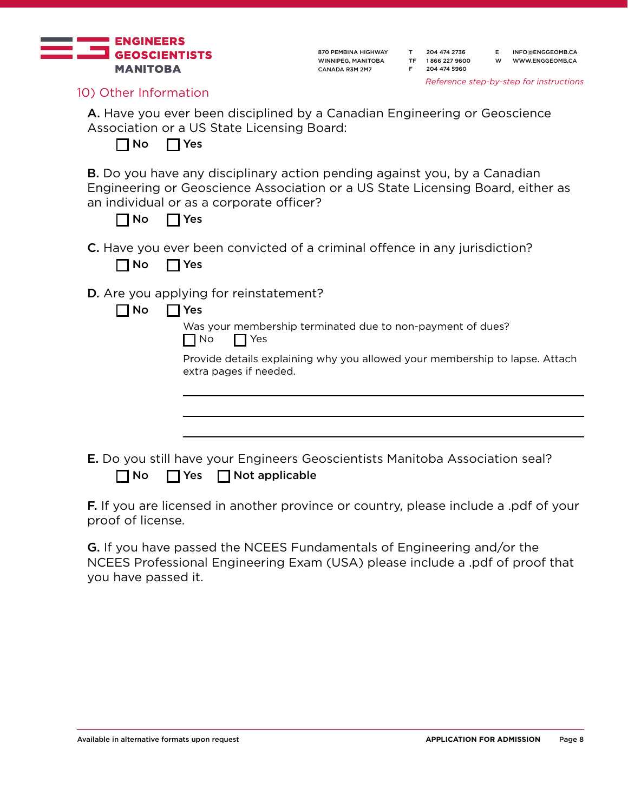

T 204 474 2736 TF 1 866 227 9600 F 204 474 5960

E INFO@ENGGEOMB.CA W WWW.ENGGEOMB.CA

*Reference step-by-step for instructions*

10) Other Information

A. Have you ever been disciplined by a Canadian Engineering or Geoscience Association or a US State Licensing Board:

 $\Box$  No  $\prod$  Yes

B. Do you have any disciplinary action pending against you, by a Canadian Engineering or Geoscience Association or a US State Licensing Board, either as an individual or as a corporate officer?

| Nο<br>٠ |  |
|---------|--|
|---------|--|

C. Have you ever been convicted of a criminal offence in any jurisdiction?

| N٥ | Yes |
|----|-----|
|----|-----|

D. Are you applying for reinstatement?

| n<br>٠ |  |
|--------|--|
|--------|--|

Was your membership terminated due to non-payment of dues? No Yes

Provide details explaining why you allowed your membership to lapse. Attach extra pages if needed.

E. Do you still have your Engineers Geoscientists Manitoba Association seal?  $\Box$  No  $\Box$  Yes  $\Box$  Not applicable

F. If you are licensed in another province or country, please include a .pdf of your proof of license.

G. If you have passed the NCEES Fundamentals of Engineering and/or the NCEES Professional Engineering Exam (USA) please include a .pdf of proof that you have passed it.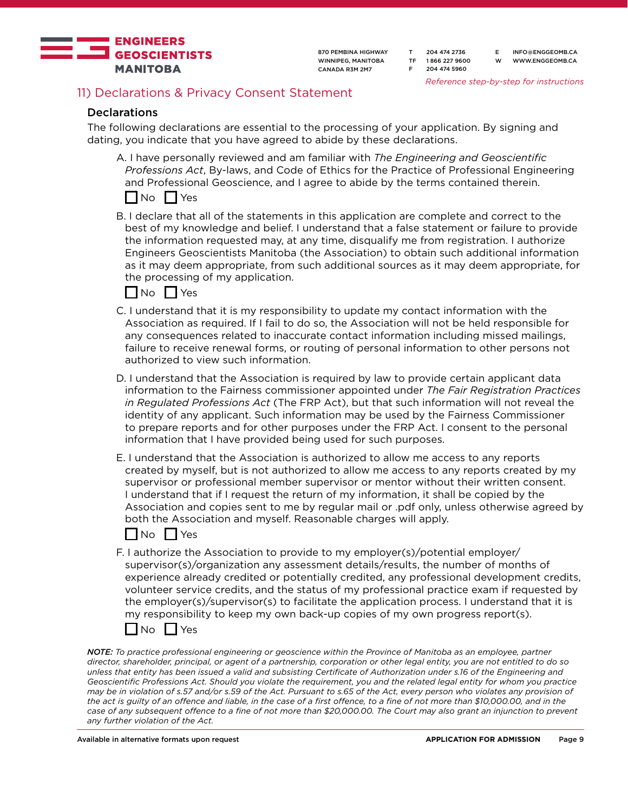

T 204 474 2736 TF 1 866 227 9600 F 204 474 5960

E INFO@ENGGEOMB.CA W WWW.ENGGEOMB.CA

*Reference step-by-step for instructions*

# 11) Declarations & Privacy Consent Statement

#### **Declarations**

The following declarations are essential to the processing of your application. By signing and dating, you indicate that you have agreed to abide by these declarations.

A. I have personally reviewed and am familiar with *The Engineering and Geoscientific Professions Act*, By-laws, and Code of Ethics for the Practice of Professional Engineering and Professional Geoscience, and I agree to abide by the terms contained therein.



B. I declare that all of the statements in this application are complete and correct to the best of my knowledge and belief. I understand that a false statement or failure to provide the information requested may, at any time, disqualify me from registration. I authorize Engineers Geoscientists Manitoba (the Association) to obtain such additional information as it may deem appropriate, from such additional sources as it may deem appropriate, for the processing of my application.



- C. I understand that it is my responsibility to update my contact information with the Association as required. If I fail to do so, the Association will not be held responsible for any consequences related to inaccurate contact information including missed mailings, failure to receive renewal forms, or routing of personal information to other persons not authorized to view such information.
- D. I understand that the Association is required by law to provide certain applicant data information to the Fairness commissioner appointed under *The Fair Registration Practices in Regulated Professions Act* (The FRP Act), but that such information will not reveal the identity of any applicant. Such information may be used by the Fairness Commissioner to prepare reports and for other purposes under the FRP Act. I consent to the personal information that I have provided being used for such purposes.
- E. I understand that the Association is authorized to allow me access to any reports created by myself, but is not authorized to allow me access to any reports created by my supervisor or professional member supervisor or mentor without their written consent. I understand that if I request the return of my information, it shall be copied by the Association and copies sent to me by regular mail or .pdf only, unless otherwise agreed by both the Association and myself. Reasonable charges will apply.



F. I authorize the Association to provide to my employer(s)/potential employer/ supervisor(s)/organization any assessment details/results, the number of months of experience already credited or potentially credited, any professional development credits, volunteer service credits, and the status of my professional practice exam if requested by the employer(s)/supervisor(s) to facilitate the application process. I understand that it is my responsibility to keep my own back-up copies of my own progress report(s).



*NOTE: To practice professional engineering or geoscience within the Province of Manitoba as an employee, partner director, shareholder, principal, or agent of a partnership, corporation or other legal entity, you are not entitled to do so unless that entity has been issued a valid and subsisting Certificate of Authorization under s.16 of the Engineering and Geoscientific Professions Act. Should you violate the requirement, you and the related legal entity for whom you practice may be in violation of s.57 and/or s.59 of the Act. Pursuant to s.65 of the Act, every person who violates any provision of the act is guilty of an offence and liable, in the case of a first offence, to a fine of not more than \$10,000.00, and in the case of any subsequent offence to a fine of not more than \$20,000.00. The Court may also grant an injunction to prevent any further violation of the Act.*

Available in alternative formats upon request **APPLICATION FOR ADMISSION** Page 9